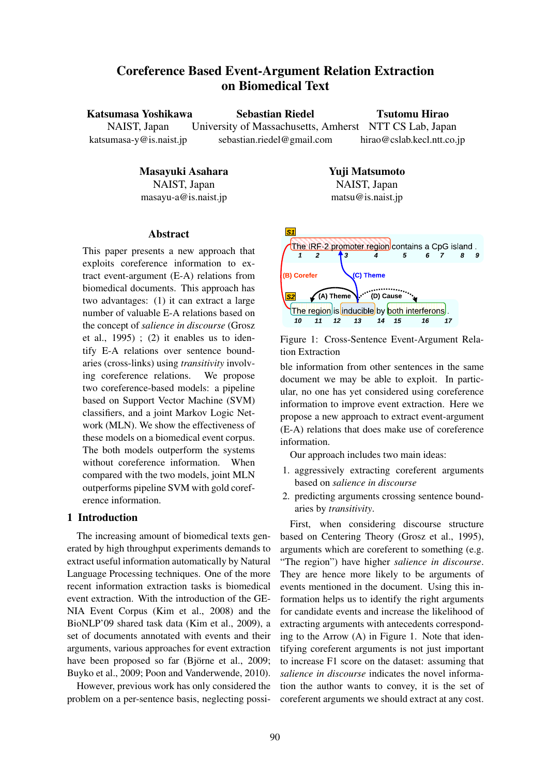# Coreference Based Event-Argument Relation Extraction on Biomedical Text

#### Katsumasa Yoshikawa Sebastian Riedel

Tsutomu Hirao

hirao@cslab.kecl.ntt.co.jp

NAIST, Japan katsumasa-y@is.naist.jp University of Massachusetts, Amherst NTT CS Lab, Japan sebastian.riedel@gmail.com

# Masayuki Asahara

NAIST, Japan masayu-a@is.naist.jp

# Yuji Matsumoto

NAIST, Japan matsu@is.naist.jp

# Abstract

This paper presents a new approach that exploits coreference information to extract event-argument (E-A) relations from biomedical documents. This approach has two advantages: (1) it can extract a large number of valuable E-A relations based on the concept of *salience in discourse* (Grosz et al.,  $1995$  ; (2) it enables us to identify E-A relations over sentence boundaries (cross-links) using *transitivity* involving coreference relations. We propose two coreference-based models: a pipeline based on Support Vector Machine (SVM) classifiers, and a joint Markov Logic Network (MLN). We show the effectiveness of these models on a biomedical event corpus. The both models outperform the systems without coreference information. When compared with the two models, joint MLN outperforms pipeline SVM with gold coreference information.

# 1 Introduction

The increasing amount of biomedical texts generated by high throughput experiments demands to extract useful information automatically by Natural Language Processing techniques. One of the more recent information extraction tasks is biomedical event extraction. With the introduction of the GE-NIA Event Corpus (Kim et al., 2008) and the BioNLP'09 shared task data (Kim et al., 2009), a set of documents annotated with events and their arguments, various approaches for event extraction have been proposed so far (Björne et al., 2009; Buyko et al., 2009; Poon and Vanderwende, 2010).

However, previous work has only considered the problem on a per-sentence basis, neglecting possi-



Figure 1: Cross-Sentence Event-Argument Relation Extraction

ble information from other sentences in the same document we may be able to exploit. In particular, no one has yet considered using coreference information to improve event extraction. Here we propose a new approach to extract event-argument (E-A) relations that does make use of coreference information.

Our approach includes two main ideas:

- 1. aggressively extracting coreferent arguments based on *salience in discourse*
- 2. predicting arguments crossing sentence boundaries by *transitivity*.

First, when considering discourse structure based on Centering Theory (Grosz et al., 1995), arguments which are coreferent to something (e.g. "The region") have higher *salience in discourse*. They are hence more likely to be arguments of events mentioned in the document. Using this information helps us to identify the right arguments for candidate events and increase the likelihood of extracting arguments with antecedents corresponding to the Arrow (A) in Figure 1. Note that identifying coreferent arguments is not just important to increase F1 score on the dataset: assuming that *salience in discourse* indicates the novel information the author wants to convey, it is the set of coreferent arguments we should extract at any cost.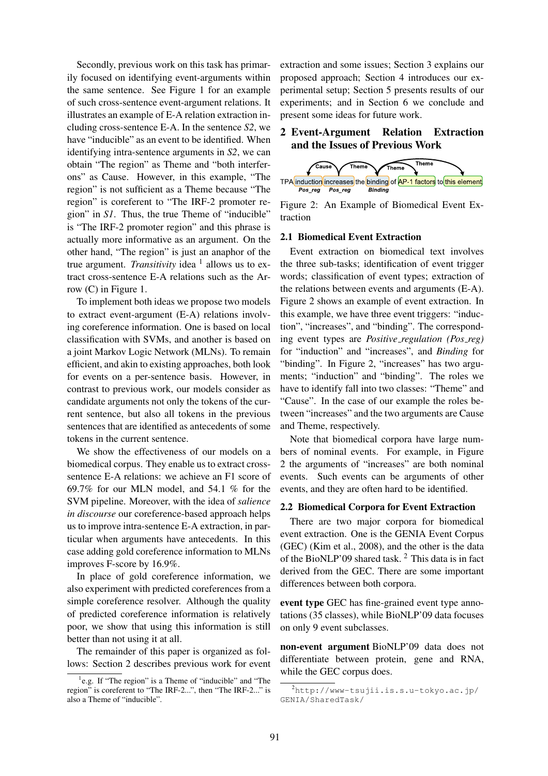Secondly, previous work on this task has primarily focused on identifying event-arguments within the same sentence. See Figure 1 for an example of such cross-sentence event-argument relations. It illustrates an example of E-A relation extraction including cross-sentence E-A. In the sentence *S2*, we have "inducible" as an event to be identified. When identifying intra-sentence arguments in *S2*, we can obtain "The region" as Theme and "both interferons" as Cause. However, in this example, "The region" is not sufficient as a Theme because "The region" is coreferent to "The IRF-2 promoter region" in *S1*. Thus, the true Theme of "inducible" is "The IRF-2 promoter region" and this phrase is actually more informative as an argument. On the other hand, "The region" is just an anaphor of the true argument. *Transitivity* idea <sup>1</sup> allows us to extract cross-sentence E-A relations such as the Arrow (C) in Figure 1.

To implement both ideas we propose two models to extract event-argument (E-A) relations involving coreference information. One is based on local classification with SVMs, and another is based on a joint Markov Logic Network (MLNs). To remain efficient, and akin to existing approaches, both look for events on a per-sentence basis. However, in contrast to previous work, our models consider as candidate arguments not only the tokens of the current sentence, but also all tokens in the previous sentences that are identified as antecedents of some tokens in the current sentence.

We show the effectiveness of our models on a biomedical corpus. They enable us to extract crosssentence E-A relations: we achieve an F1 score of 69.7% for our MLN model, and 54.1 % for the SVM pipeline. Moreover, with the idea of *salience in discourse* our coreference-based approach helps us to improve intra-sentence E-A extraction, in particular when arguments have antecedents. In this case adding gold coreference information to MLNs improves F-score by 16.9%.

In place of gold coreference information, we also experiment with predicted coreferences from a simple coreference resolver. Although the quality of predicted coreference information is relatively poor, we show that using this information is still better than not using it at all.

The remainder of this paper is organized as follows: Section 2 describes previous work for event extraction and some issues; Section 3 explains our proposed approach; Section 4 introduces our experimental setup; Section 5 presents results of our experiments; and in Section 6 we conclude and present some ideas for future work.

# 2 Event-Argument Relation Extraction and the Issues of Previous Work



Figure 2: An Example of Biomedical Event Extraction

# 2.1 Biomedical Event Extraction

Event extraction on biomedical text involves the three sub-tasks; identification of event trigger words; classification of event types; extraction of the relations between events and arguments (E-A). Figure 2 shows an example of event extraction. In this example, we have three event triggers: "induction", "increases", and "binding". The corresponding event types are *Positive regulation (Pos reg)* for "induction" and "increases", and *Binding* for "binding". In Figure 2, "increases" has two arguments; "induction" and "binding". The roles we have to identify fall into two classes: "Theme" and "Cause". In the case of our example the roles between "increases" and the two arguments are Cause and Theme, respectively.

Note that biomedical corpora have large numbers of nominal events. For example, in Figure 2 the arguments of "increases" are both nominal events. Such events can be arguments of other events, and they are often hard to be identified.

#### 2.2 Biomedical Corpora for Event Extraction

There are two major corpora for biomedical event extraction. One is the GENIA Event Corpus (GEC) (Kim et al., 2008), and the other is the data of the BioNLP'09 shared task. <sup>2</sup> This data is in fact derived from the GEC. There are some important differences between both corpora.

event type GEC has fine-grained event type annotations (35 classes), while BioNLP'09 data focuses on only 9 event subclasses.

non-event argument BioNLP'09 data does not differentiate between protein, gene and RNA, while the GEC corpus does.

<sup>&</sup>lt;sup>1</sup>e.g. If "The region" is a Theme of "inducible" and "The region" is coreferent to "The IRF-2...", then "The IRF-2..." is also a Theme of "inducible".

 $^{2}$ http://www-tsujii.is.s.u-tokyo.ac.jp/ GENIA/SharedTask/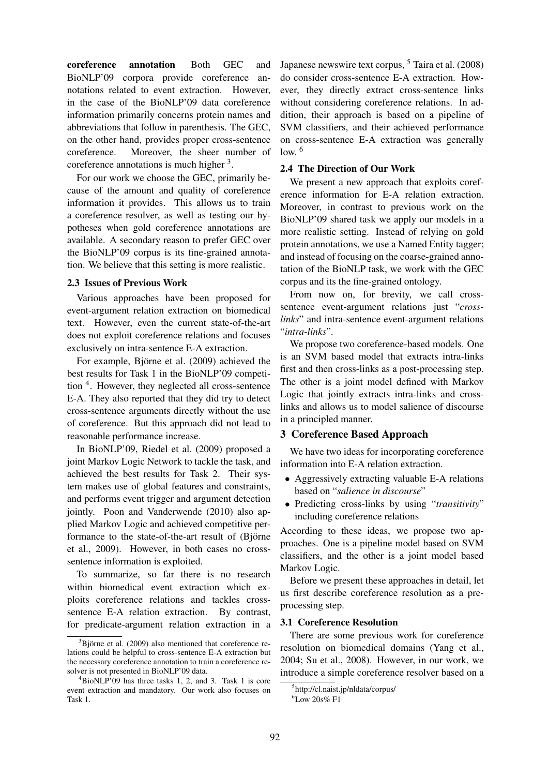coreference annotation Both GEC and BioNLP'09 corpora provide coreference annotations related to event extraction. However, in the case of the BioNLP'09 data coreference information primarily concerns protein names and abbreviations that follow in parenthesis. The GEC, on the other hand, provides proper cross-sentence coreference. Moreover, the sheer number of coreference annotations is much higher  $3$ .

For our work we choose the GEC, primarily because of the amount and quality of coreference information it provides. This allows us to train a coreference resolver, as well as testing our hypotheses when gold coreference annotations are available. A secondary reason to prefer GEC over the BioNLP'09 corpus is its fine-grained annotation. We believe that this setting is more realistic.

#### 2.3 Issues of Previous Work

Various approaches have been proposed for event-argument relation extraction on biomedical text. However, even the current state-of-the-art does not exploit coreference relations and focuses exclusively on intra-sentence E-A extraction.

For example, Björne et al. (2009) achieved the best results for Task 1 in the BioNLP'09 competition <sup>4</sup>. However, they neglected all cross-sentence E-A. They also reported that they did try to detect cross-sentence arguments directly without the use of coreference. But this approach did not lead to reasonable performance increase.

In BioNLP'09, Riedel et al. (2009) proposed a joint Markov Logic Network to tackle the task, and achieved the best results for Task 2. Their system makes use of global features and constraints, and performs event trigger and argument detection jointly. Poon and Vanderwende (2010) also applied Markov Logic and achieved competitive performance to the state-of-the-art result of (Björne et al., 2009). However, in both cases no crosssentence information is exploited.

To summarize, so far there is no research within biomedical event extraction which exploits coreference relations and tackles crosssentence E-A relation extraction. By contrast, for predicate-argument relation extraction in a Japanese newswire text corpus,  $<sup>5</sup>$  Taira et al. (2008)</sup> do consider cross-sentence E-A extraction. However, they directly extract cross-sentence links without considering coreference relations. In addition, their approach is based on a pipeline of SVM classifiers, and their achieved performance on cross-sentence E-A extraction was generally low.  $6$ 

### 2.4 The Direction of Our Work

We present a new approach that exploits coreference information for E-A relation extraction. Moreover, in contrast to previous work on the BioNLP'09 shared task we apply our models in a more realistic setting. Instead of relying on gold protein annotations, we use a Named Entity tagger; and instead of focusing on the coarse-grained annotation of the BioNLP task, we work with the GEC corpus and its the fine-grained ontology.

From now on, for brevity, we call crosssentence event-argument relations just "*crosslinks*" and intra-sentence event-argument relations "*intra-links*".

We propose two coreference-based models. One is an SVM based model that extracts intra-links first and then cross-links as a post-processing step. The other is a joint model defined with Markov Logic that jointly extracts intra-links and crosslinks and allows us to model salience of discourse in a principled manner.

# 3 Coreference Based Approach

We have two ideas for incorporating coreference information into E-A relation extraction.

- Aggressively extracting valuable E-A relations based on "*salience in discourse*"
- Predicting cross-links by using "*transitivity*" including coreference relations

According to these ideas, we propose two approaches. One is a pipeline model based on SVM classifiers, and the other is a joint model based Markov Logic.

Before we present these approaches in detail, let us first describe coreference resolution as a preprocessing step.

# 3.1 Coreference Resolution

There are some previous work for coreference resolution on biomedical domains (Yang et al., 2004; Su et al., 2008). However, in our work, we introduce a simple coreference resolver based on a

 $3B$ jörne et al. (2009) also mentioned that coreference relations could be helpful to cross-sentence E-A extraction but the necessary coreference annotation to train a coreference resolver is not presented in BioNLP'09 data.

<sup>4</sup>BioNLP'09 has three tasks 1, 2, and 3. Task 1 is core event extraction and mandatory. Our work also focuses on Task 1.

<sup>5</sup> http://cl.naist.jp/nldata/corpus/

 $6$ Low 20s% F1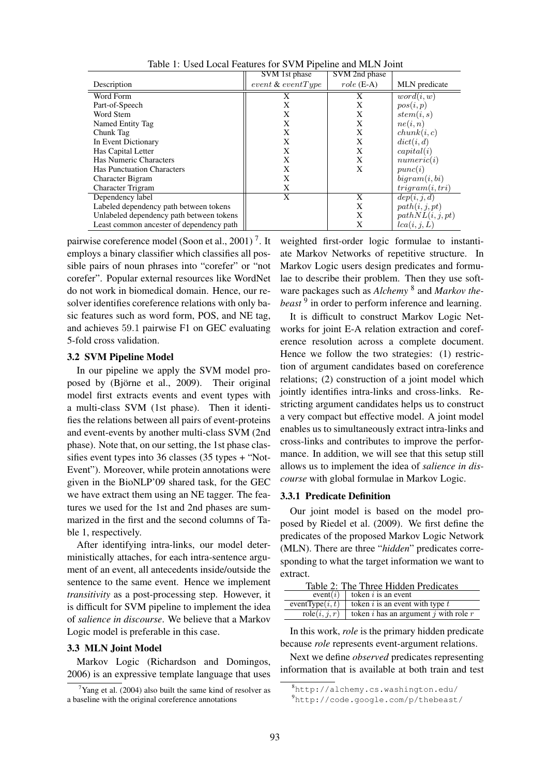|                                          | SVM 1st phase        | SVM 2nd phase |                         |
|------------------------------------------|----------------------|---------------|-------------------------|
| Description                              | $event \& eventType$ | $role (E-A)$  | MLN predicate           |
| Word Form                                | X                    | X             | word(i, w)              |
| Part-of-Speech                           | X                    | X             | pos(i, p)               |
| Word Stem                                | X                    | X             | stem(i,s)               |
| Named Entity Tag                         | X                    | X             | ne(i, n)                |
| Chunk Tag                                | X                    | X             | chunk(i, c)             |
| In Event Dictionary                      | X                    | X             | dict(i, d)              |
| Has Capital Letter                       | X                    | X             | capital(i)              |
| Has Numeric Characters                   | X                    | X             | numeric(i)              |
| <b>Has Punctuation Characters</b>        | X                    | X             | punc(i)                 |
| <b>Character Bigram</b>                  | X                    |               | bigram(i, bi)           |
| Character Trigram                        | X                    |               | trigram(i, tri)         |
| Dependency label                         | X                    | X             | $\overline{dep(i,j,d)}$ |
| Labeled dependency path between tokens   |                      | X             | path(i, j, pt)          |
| Unlabeled dependency path between tokens |                      | X             | pathNL(i, j, pt)        |
| Least common ancester of dependency path |                      | X             | lca(i, j, L)            |

Table 1: Used Local Features for SVM Pipeline and MLN Joint

pairwise coreference model (Soon et al., 2001)<sup>7</sup>. It employs a binary classifier which classifies all possible pairs of noun phrases into "corefer" or "not corefer". Popular external resources like WordNet do not work in biomedical domain. Hence, our resolver identifies coreference relations with only basic features such as word form, POS, and NE tag, and achieves 59.1 pairwise F1 on GEC evaluating 5-fold cross validation.

#### 3.2 SVM Pipeline Model

In our pipeline we apply the SVM model proposed by (Björne et al., 2009). Their original model first extracts events and event types with a multi-class SVM (1st phase). Then it identifies the relations between all pairs of event-proteins and event-events by another multi-class SVM (2nd phase). Note that, on our setting, the 1st phase classifies event types into 36 classes (35 types + "Not-Event"). Moreover, while protein annotations were given in the BioNLP'09 shared task, for the GEC we have extract them using an NE tagger. The features we used for the 1st and 2nd phases are summarized in the first and the second columns of Table 1, respectively.

After identifying intra-links, our model deterministically attaches, for each intra-sentence argument of an event, all antecedents inside/outside the sentence to the same event. Hence we implement *transitivity* as a post-processing step. However, it is difficult for SVM pipeline to implement the idea of *salience in discourse*. We believe that a Markov Logic model is preferable in this case.

#### 3.3 MLN Joint Model

Markov Logic (Richardson and Domingos, 2006) is an expressive template language that uses weighted first-order logic formulae to instantiate Markov Networks of repetitive structure. In Markov Logic users design predicates and formulae to describe their problem. Then they use software packages such as *Alchemy* <sup>8</sup> and *Markov thebeast* <sup>9</sup> in order to perform inference and learning.

It is difficult to construct Markov Logic Networks for joint E-A relation extraction and coreference resolution across a complete document. Hence we follow the two strategies: (1) restriction of argument candidates based on coreference relations; (2) construction of a joint model which jointly identifies intra-links and cross-links. Restricting argument candidates helps us to construct a very compact but effective model. A joint model enables us to simultaneously extract intra-links and cross-links and contributes to improve the performance. In addition, we will see that this setup still allows us to implement the idea of *salience in discourse* with global formulae in Markov Logic.

#### 3.3.1 Predicate Definition

Our joint model is based on the model proposed by Riedel et al. (2009). We first define the predicates of the proposed Markov Logic Network (MLN). There are three "*hidden*" predicates corresponding to what the target information we want to extract.

| Table 2: The Three Hidden Predicates |                                                       |  |  |
|--------------------------------------|-------------------------------------------------------|--|--|
|                                      | event(i)   token i is an event                        |  |  |
| eventType $(i, t)$                   | token $i$ is an event with type $t$                   |  |  |
| role(i, j, r)                        | token <i>i</i> has an argument <i>j</i> with role $r$ |  |  |

In this work, *role* is the primary hidden predicate because *role* represents event-argument relations.

Next we define *observed* predicates representing information that is available at both train and test

 $7$ Yang et al. (2004) also built the same kind of resolver as a baseline with the original coreference annotations

<sup>8</sup>http://alchemy.cs.washington.edu/

<sup>9</sup>http://code.google.com/p/thebeast/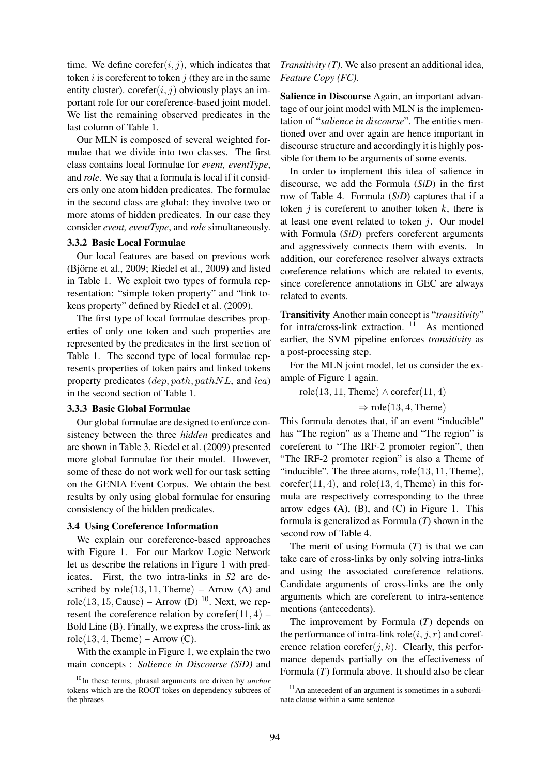time. We define corefer $(i, j)$ , which indicates that token  $i$  is coreferent to token  $j$  (they are in the same entity cluster). corefer $(i, j)$  obviously plays an important role for our coreference-based joint model. We list the remaining observed predicates in the last column of Table 1.

Our MLN is composed of several weighted formulae that we divide into two classes. The first class contains local formulae for *event, eventType*, and *role*. We say that a formula is local if it considers only one atom hidden predicates. The formulae in the second class are global: they involve two or more atoms of hidden predicates. In our case they consider *event, eventType*, and *role* simultaneously.

## 3.3.2 Basic Local Formulae

Our local features are based on previous work (Björne et al.,  $2009$ ; Riedel et al.,  $2009$ ) and listed in Table 1. We exploit two types of formula representation: "simple token property" and "link tokens property" defined by Riedel et al. (2009).

The first type of local formulae describes properties of only one token and such properties are represented by the predicates in the first section of Table 1. The second type of local formulae represents properties of token pairs and linked tokens property predicates  $(dep, path, pathNL, and lca)$ in the second section of Table 1.

#### 3.3.3 Basic Global Formulae

Our global formulae are designed to enforce consistency between the three *hidden* predicates and are shown in Table 3. Riedel et al. (2009) presented more global formulae for their model. However, some of these do not work well for our task setting on the GENIA Event Corpus. We obtain the best results by only using global formulae for ensuring consistency of the hidden predicates.

#### 3.4 Using Coreference Information

We explain our coreference-based approaches with Figure 1. For our Markov Logic Network let us describe the relations in Figure 1 with predicates. First, the two intra-links in *S2* are described by  $role(13, 11,$  Theme) – Arrow (A) and role(13, 15, Cause) – Arrow (D)  $^{10}$ . Next, we represent the coreference relation by corefer $(11, 4)$  – Bold Line (B). Finally, we express the cross-link as  $role(13, 4, Theme) - Arrow (C).$ 

With the example in Figure 1, we explain the two main concepts : *Salience in Discourse (SiD)* and *Transitivity (T)*. We also present an additional idea, *Feature Copy (FC)*.

Salience in Discourse Again, an important advantage of our joint model with MLN is the implementation of "*salience in discourse*". The entities mentioned over and over again are hence important in discourse structure and accordingly it is highly possible for them to be arguments of some events.

In order to implement this idea of salience in discourse, we add the Formula (*SiD*) in the first row of Table 4. Formula (*SiD*) captures that if a token  $i$  is coreferent to another token  $k$ , there is at least one event related to token  $i$ . Our model with Formula (*SiD*) prefers coreferent arguments and aggressively connects them with events. In addition, our coreference resolver always extracts coreference relations which are related to events, since coreference annotations in GEC are always related to events.

Transitivity Another main concept is "*transitivity*" for intra/cross-link extraction. <sup>11</sup> As mentioned earlier, the SVM pipeline enforces *transitivity* as a post-processing step.

For the MLN joint model, let us consider the example of Figure 1 again.

role(13, 11, Theme)  $\land$  corefer(11, 4)

 $\Rightarrow$  role(13, 4, Theme)

This formula denotes that, if an event "inducible" has "The region" as a Theme and "The region" is coreferent to "The IRF-2 promoter region", then "The IRF-2 promoter region" is also a Theme of "inducible". The three atoms,  $role(13, 11,$  Theme),  $\text{corefer}(11, 4)$ , and  $\text{role}(13, 4, \text{Then})$  in this formula are respectively corresponding to the three arrow edges  $(A)$ ,  $(B)$ , and  $(C)$  in Figure 1. This formula is generalized as Formula (*T*) shown in the second row of Table 4.

The merit of using Formula (*T*) is that we can take care of cross-links by only solving intra-links and using the associated coreference relations. Candidate arguments of cross-links are the only arguments which are coreferent to intra-sentence mentions (antecedents).

The improvement by Formula (*T*) depends on the performance of intra-link role( $i, j, r$ ) and coreference relation corefer $(j, k)$ . Clearly, this performance depends partially on the effectiveness of Formula (*T*) formula above. It should also be clear

<sup>10</sup>In these terms, phrasal arguments are driven by *anchor* tokens which are the ROOT tokes on dependency subtrees of the phrases

 $11$ An antecedent of an argument is sometimes in a subordinate clause within a same sentence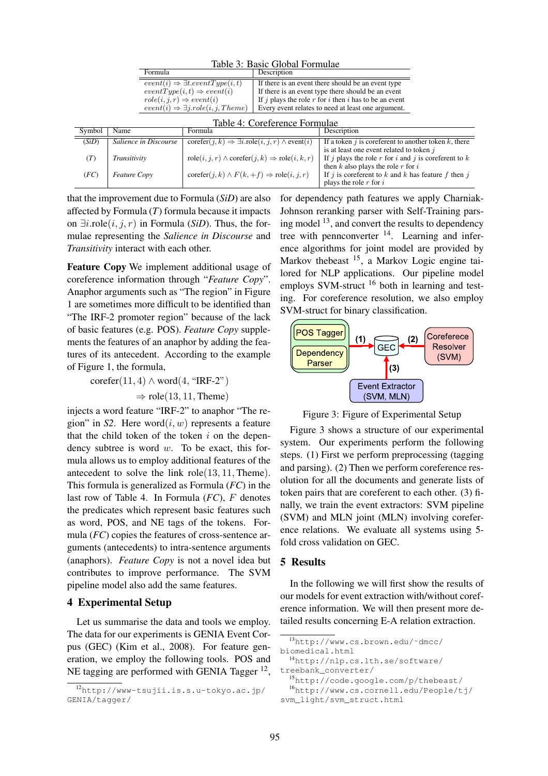| Table 9. Dasit Chobal Politiquae |                                                                                                           |                                                                                      |                                                    |                                                           |
|----------------------------------|-----------------------------------------------------------------------------------------------------------|--------------------------------------------------------------------------------------|----------------------------------------------------|-----------------------------------------------------------|
|                                  | Formula                                                                                                   |                                                                                      | Description                                        |                                                           |
|                                  | $event(i) \Rightarrow \exists t.eventType(i, t)$                                                          |                                                                                      | If there is an event there should be an event type |                                                           |
|                                  | $eventType(i, t) \Rightarrow event(i)$                                                                    |                                                                                      |                                                    | If there is an event type there should be an event        |
|                                  | $role(i, j, r) \Rightarrow event(i)$                                                                      |                                                                                      |                                                    | If $j$ plays the role r for i then i has to be an event   |
|                                  | $event(i) \Rightarrow \exists j. role (i, j. Then)$<br>Every event relates to need at least one argument. |                                                                                      |                                                    |                                                           |
|                                  |                                                                                                           |                                                                                      |                                                    |                                                           |
|                                  |                                                                                                           |                                                                                      | Table 4: Coreference Formulae                      |                                                           |
| Symbol                           | Name                                                                                                      | Formula                                                                              |                                                    | Description                                               |
| (SiD)                            | Salience in Discourse                                                                                     | $\text{corefer}(j,k) \Rightarrow \exists i.\text{role}(i,j,r) \land \text{event}(i)$ |                                                    | If a token $j$ is coreferent to another token $k$ , there |
|                                  |                                                                                                           |                                                                                      |                                                    | is at least one event related to token j                  |
| (T)                              | Transitivity                                                                                              | $role(i, j, r) \wedge corefer(j, k) \Rightarrow role(i, k, r)$                       |                                                    | If j plays the role r for i and j is coreferent to $k$    |
|                                  |                                                                                                           |                                                                                      |                                                    | then $k$ also plays the role $r$ for $i$                  |
| (FC)                             | <b>Feature Copy</b>                                                                                       | $\text{corefer}(j,k) \wedge F(k, +f) \Rightarrow \text{role}(i, j, r)$               |                                                    | If i is coreferent to k and k has feature f then i        |
|                                  |                                                                                                           |                                                                                      |                                                    | plays the role $r$ for $i$                                |

Table 3: Basic Global Formulae

that the improvement due to Formula (*SiD*) are also affected by Formula (*T*) formula because it impacts on  $∃i$ .role $(i, j, r)$  in Formula (*SiD*). Thus, the formulae representing the *Salience in Discourse* and *Transitivity* interact with each other.

Feature Copy We implement additional usage of coreference information through "*Feature Copy*". Anaphor arguments such as "The region" in Figure 1 are sometimes more difficult to be identified than "The IRF-2 promoter region" because of the lack of basic features (e.g. POS). *Feature Copy* supplements the features of an anaphor by adding the features of its antecedent. According to the example of Figure 1, the formula,

 $\text{corefer}(11, 4) \wedge \text{word}(4, \text{``IRF-2''})$ 

 $\Rightarrow$  role(13, 11, Theme)

injects a word feature "IRF-2" to anaphor "The region" in  $S2$ . Here word $(i, w)$  represents a feature that the child token of the token  $i$  on the dependency subtree is word  $w$ . To be exact, this formula allows us to employ additional features of the antecedent to solve the link role(13, 11, Theme). This formula is generalized as Formula (*FC*) in the last row of Table 4. In Formula (*FC*), F denotes the predicates which represent basic features such as word, POS, and NE tags of the tokens. Formula (*FC*) copies the features of cross-sentence arguments (antecedents) to intra-sentence arguments (anaphors). *Feature Copy* is not a novel idea but contributes to improve performance. The SVM pipeline model also add the same features.

# 4 Experimental Setup

Let us summarise the data and tools we employ. The data for our experiments is GENIA Event Corpus (GEC) (Kim et al., 2008). For feature generation, we employ the following tools. POS and NE tagging are performed with GENIA Tagger<sup>12</sup>,

for dependency path features we apply Charniak-Johnson reranking parser with Self-Training parsing model  $^{13}$ , and convert the results to dependency tree with pennconverter  $14$ . Learning and inference algorithms for joint model are provided by Markov thebeast <sup>15</sup>, a Markov Logic engine tailored for NLP applications. Our pipeline model employs SVM-struct <sup>16</sup> both in learning and testing. For coreference resolution, we also employ SVM-struct for binary classification.



Figure 3: Figure of Experimental Setup

Figure 3 shows a structure of our experimental system. Our experiments perform the following steps. (1) First we perform preprocessing (tagging and parsing). (2) Then we perform coreference resolution for all the documents and generate lists of token pairs that are coreferent to each other. (3) finally, we train the event extractors: SVM pipeline (SVM) and MLN joint (MLN) involving coreference relations. We evaluate all systems using 5 fold cross validation on GEC.

## 5 Results

In the following we will first show the results of our models for event extraction with/without coreference information. We will then present more detailed results concerning E-A relation extraction.

<sup>15</sup>http://code.google.com/p/thebeast/ <sup>16</sup>http://www.cs.cornell.edu/People/tj/

<sup>12</sup>http://www-tsujii.is.s.u-tokyo.ac.jp/ GENIA/tagger/

<sup>13</sup>http://www.cs.brown.edu/˜dmcc/ biomedical.html

<sup>14</sup>http://nlp.cs.lth.se/software/ treebank\_converter/

svm\_light/svm\_struct.html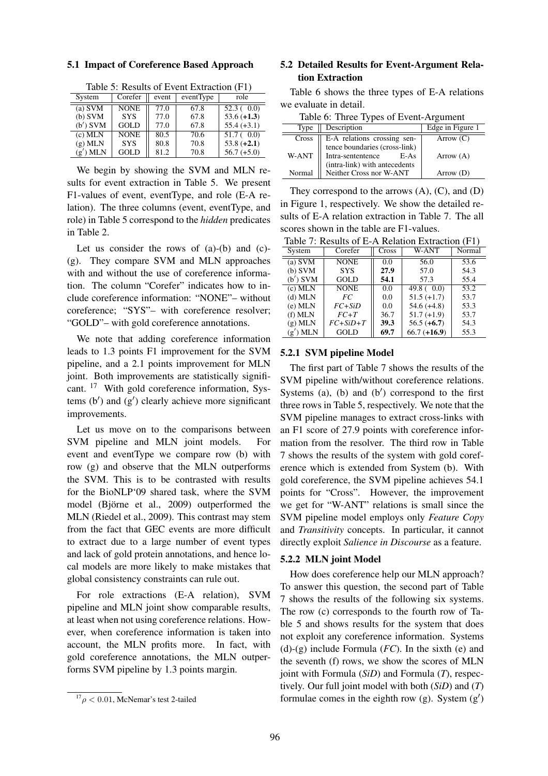# 5.1 Impact of Coreference Based Approach

| $\mathbf{r}$ |             |       |           |               |
|--------------|-------------|-------|-----------|---------------|
| System       | Corefer     | event | eventType | role          |
| $(a)$ SVM    | <b>NONE</b> | 77.0  | 67.8      | 52.3(0.0)     |
| $(b)$ SVM    | <b>SYS</b>  | 77.0  | 67.8      | $53.6 (+1.3)$ |
| $(b')$ SVM   | GOLD        | 77.0  | 67.8      | $55.4 (+3.1)$ |
| $(c)$ MLN    | <b>NONE</b> | 80.5  | 70.6      | 51.7(0.0)     |
| $(g)$ MLN    | <b>SYS</b>  | 80.8  | 70.8      | $53.8 (+2.1)$ |
| $(g')$ MLN   | GOLD        | 81.2  | 70.8      | $56.7 (+5.0)$ |
|              |             |       |           |               |

Table 5: Results of Event Extraction (F1)

We begin by showing the SVM and MLN results for event extraction in Table 5. We present F1-values of event, eventType, and role (E-A relation). The three columns (event, eventType, and role) in Table 5 correspond to the *hidden* predicates in Table 2.

Let us consider the rows of (a)-(b) and (c)- (g). They compare SVM and MLN approaches with and without the use of coreference information. The column "Corefer" indicates how to include coreference information: "NONE"– without coreference; "SYS"– with coreference resolver; "GOLD"– with gold coreference annotations.

We note that adding coreference information leads to 1.3 points F1 improvement for the SVM pipeline, and a 2.1 points improvement for MLN joint. Both improvements are statistically significant. <sup>17</sup> With gold coreference information, Systems  $(b')$  and  $(g')$  clearly achieve more significant improvements.

Let us move on to the comparisons between SVM pipeline and MLN joint models. For event and eventType we compare row (b) with row (g) and observe that the MLN outperforms the SVM. This is to be contrasted with results for the BioNLP'09 shared task, where the SVM model (Björne et al., 2009) outperformed the MLN (Riedel et al., 2009). This contrast may stem from the fact that GEC events are more difficult to extract due to a large number of event types and lack of gold protein annotations, and hence local models are more likely to make mistakes that global consistency constraints can rule out.

For role extractions (E-A relation), SVM pipeline and MLN joint show comparable results, at least when not using coreference relations. However, when coreference information is taken into account, the MLN profits more. In fact, with gold coreference annotations, the MLN outperforms SVM pipeline by 1.3 points margin.

# 5.2 Detailed Results for Event-Argument Relation Extraction

Table 6 shows the three types of E-A relations we evaluate in detail.

| radio 0. Three Types of Event Throme |                                                              |                  |  |  |
|--------------------------------------|--------------------------------------------------------------|------------------|--|--|
| Type                                 | Description                                                  | Edge in Figure 1 |  |  |
| Cross                                | E-A relations crossing sen-<br>tence boundaries (cross-link) | Arrow $(C)$      |  |  |
| W-ANT                                | Intra-sententence<br>$E-As$                                  | Arrow $(A)$      |  |  |
| Normal                               | (intra-link) with antecedents<br>Neither Cross nor W-ANT     | Arrow (D)        |  |  |

Table 6: Three Types of Event-Argument

They correspond to the arrows  $(A)$ ,  $(C)$ , and  $(D)$ in Figure 1, respectively. We show the detailed results of E-A relation extraction in Table 7. The all scores shown in the table are F1-values.

| Table 7: Results of E-A Relation Extraction (F1) |             |       |                |        |
|--------------------------------------------------|-------------|-------|----------------|--------|
| System                                           | Corefer     | Cross | W-ANT          | Normal |
| $(a)$ SVM                                        | <b>NONE</b> | 0.0   | 56.0           | 53.6   |
| $(b)$ SVM                                        | <b>SYS</b>  | 27.9  | 57.0           | 54.3   |
| $(b')$ SVM                                       | GOLD        | 54.1  | 57.3           | 55.4   |
| $(c)$ MLN                                        | <b>NONE</b> | 0.0   | 49.8(0.0)      | 53.2   |
| $(d)$ MLN                                        | FC          | 0.0   | $51.5 (+1.7)$  | 53.7   |
| $(e)$ MLN                                        | $FC+SiD$    | 0.0   | $54.6 (+4.8)$  | 53.3   |
| $(f)$ MLN                                        | $FC+T$      | 36.7  | $51.7 (+1.9)$  | 53.7   |
| $(g)$ MLN                                        | $FC+SiD+T$  | 39.3  | $56.5 (+6.7)$  | 54.3   |
| $(g')$ MLN                                       | GOLD        | 69.7  | $66.7 (+16.9)$ | 55.3   |

#### 5.2.1 SVM pipeline Model

The first part of Table 7 shows the results of the SVM pipeline with/without coreference relations. Systems  $(a)$ ,  $(b)$  and  $(b')$  correspond to the first three rows in Table 5, respectively. We note that the SVM pipeline manages to extract cross-links with an F1 score of 27.9 points with coreference information from the resolver. The third row in Table 7 shows the results of the system with gold coreference which is extended from System (b). With gold coreference, the SVM pipeline achieves 54.1 points for "Cross". However, the improvement we get for "W-ANT" relations is small since the SVM pipeline model employs only *Feature Copy* and *Transitivity* concepts. In particular, it cannot directly exploit *Salience in Discourse* as a feature.

### 5.2.2 MLN joint Model

How does coreference help our MLN approach? To answer this question, the second part of Table 7 shows the results of the following six systems. The row (c) corresponds to the fourth row of Table 5 and shows results for the system that does not exploit any coreference information. Systems (d)-(g) include Formula (*FC*). In the sixth (e) and the seventh (f) rows, we show the scores of MLN joint with Formula (*SiD*) and Formula (*T*), respectively. Our full joint model with both (*SiD*) and (*T*) formulae comes in the eighth row (g). System  $(g')$ 

 $17 \rho < 0.01$ , McNemar's test 2-tailed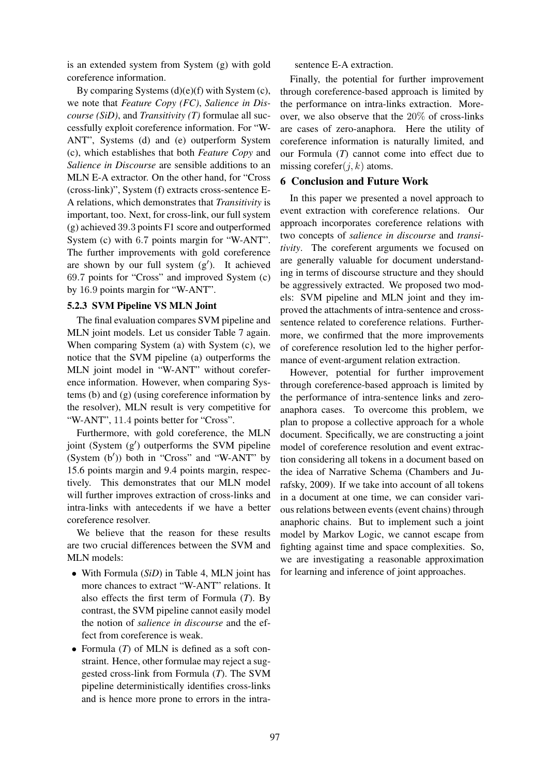is an extended system from System (g) with gold coreference information.

By comparing Systems  $(d)(e)(f)$  with System  $(c)$ , we note that *Feature Copy (FC)*, *Salience in Discourse (SiD)*, and *Transitivity (T)* formulae all successfully exploit coreference information. For "W-ANT", Systems (d) and (e) outperform System (c), which establishes that both *Feature Copy* and *Salience in Discourse* are sensible additions to an MLN E-A extractor. On the other hand, for "Cross (cross-link)", System (f) extracts cross-sentence E-A relations, which demonstrates that *Transitivity* is important, too. Next, for cross-link, our full system (g) achieved 39.3 points F1 score and outperformed System (c) with 6.7 points margin for "W-ANT". The further improvements with gold coreference are shown by our full system  $(g')$ . It achieved 69.7 points for "Cross" and improved System (c) by 16.9 points margin for "W-ANT".

# 5.2.3 SVM Pipeline VS MLN Joint

The final evaluation compares SVM pipeline and MLN joint models. Let us consider Table 7 again. When comparing System (a) with System (c), we notice that the SVM pipeline (a) outperforms the MLN joint model in "W-ANT" without coreference information. However, when comparing Systems (b) and (g) (using coreference information by the resolver), MLN result is very competitive for "W-ANT", 11.4 points better for "Cross".

Furthermore, with gold coreference, the MLN joint (System (g′ ) outperforms the SVM pipeline  $(System (b'))$  both in "Cross" and "W-ANT" by 15.6 points margin and 9.4 points margin, respectively. This demonstrates that our MLN model will further improves extraction of cross-links and intra-links with antecedents if we have a better coreference resolver.

We believe that the reason for these results are two crucial differences between the SVM and MLN models:

- With Formula (*SiD*) in Table 4, MLN joint has more chances to extract "W-ANT" relations. It also effects the first term of Formula (*T*). By contrast, the SVM pipeline cannot easily model the notion of *salience in discourse* and the effect from coreference is weak.
- Formula (*T*) of MLN is defined as a soft constraint. Hence, other formulae may reject a suggested cross-link from Formula (*T*). The SVM pipeline deterministically identifies cross-links and is hence more prone to errors in the intra-

# sentence E-A extraction.

Finally, the potential for further improvement through coreference-based approach is limited by the performance on intra-links extraction. Moreover, we also observe that the 20% of cross-links are cases of zero-anaphora. Here the utility of coreference information is naturally limited, and our Formula (*T*) cannot come into effect due to missing corefer $(j, k)$  atoms.

# 6 Conclusion and Future Work

In this paper we presented a novel approach to event extraction with coreference relations. Our approach incorporates coreference relations with two concepts of *salience in discourse* and *transitivity*. The coreferent arguments we focused on are generally valuable for document understanding in terms of discourse structure and they should be aggressively extracted. We proposed two models: SVM pipeline and MLN joint and they improved the attachments of intra-sentence and crosssentence related to coreference relations. Furthermore, we confirmed that the more improvements of coreference resolution led to the higher performance of event-argument relation extraction.

However, potential for further improvement through coreference-based approach is limited by the performance of intra-sentence links and zeroanaphora cases. To overcome this problem, we plan to propose a collective approach for a whole document. Specifically, we are constructing a joint model of coreference resolution and event extraction considering all tokens in a document based on the idea of Narrative Schema (Chambers and Jurafsky, 2009). If we take into account of all tokens in a document at one time, we can consider various relations between events (event chains) through anaphoric chains. But to implement such a joint model by Markov Logic, we cannot escape from fighting against time and space complexities. So, we are investigating a reasonable approximation for learning and inference of joint approaches.